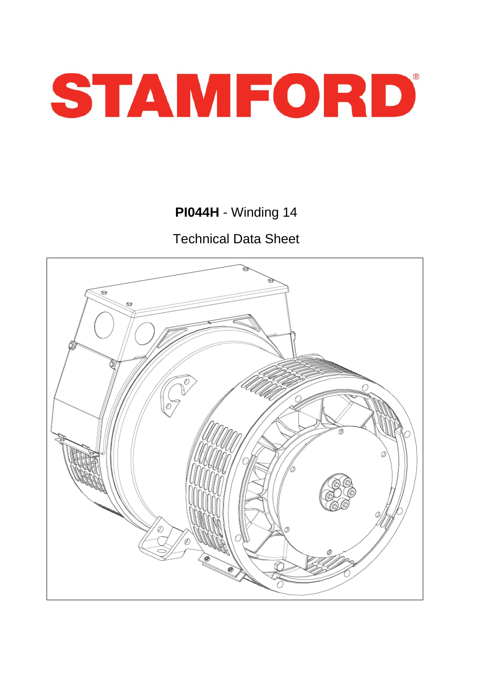

**PI044H** - Winding 14

Technical Data Sheet

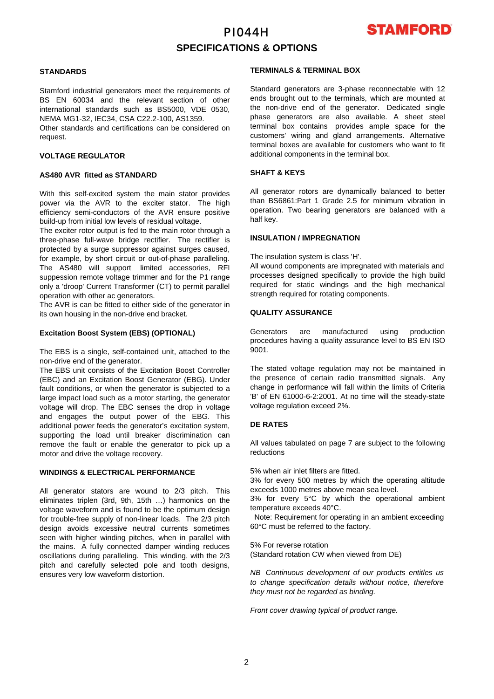# PI044H **SPECIFICATIONS & OPTIONS**



## **STANDARDS**

Stamford industrial generators meet the requirements of BS EN 60034 and the relevant section of other international standards such as BS5000, VDE 0530, NEMA MG1-32, IEC34, CSA C22.2-100, AS1359.

Other standards and certifications can be considered on request.

## **VOLTAGE REGULATOR**

#### **AS480 AVR fitted as STANDARD**

With this self-excited system the main stator provides power via the AVR to the exciter stator. The high efficiency semi-conductors of the AVR ensure positive build-up from initial low levels of residual voltage.

The exciter rotor output is fed to the main rotor through a three-phase full-wave bridge rectifier. The rectifier is protected by a surge suppressor against surges caused, for example, by short circuit or out-of-phase paralleling. The AS480 will support limited accessories, RFI suppession remote voltage trimmer and for the P1 range only a 'droop' Current Transformer (CT) to permit parallel operation with other ac generators.

The AVR is can be fitted to either side of the generator in its own housing in the non-drive end bracket.

## **Excitation Boost System (EBS) (OPTIONAL)**

The EBS is a single, self-contained unit, attached to the non-drive end of the generator.

The EBS unit consists of the Excitation Boost Controller (EBC) and an Excitation Boost Generator (EBG). Under fault conditions, or when the generator is subjected to a large impact load such as a motor starting, the generator voltage will drop. The EBC senses the drop in voltage and engages the output power of the EBG. This additional power feeds the generator's excitation system, supporting the load until breaker discrimination can remove the fault or enable the generator to pick up a motor and drive the voltage recovery.

### **WINDINGS & ELECTRICAL PERFORMANCE**

All generator stators are wound to 2/3 pitch. This eliminates triplen (3rd, 9th, 15th …) harmonics on the voltage waveform and is found to be the optimum design for trouble-free supply of non-linear loads. The 2/3 pitch design avoids excessive neutral currents sometimes seen with higher winding pitches, when in parallel with the mains. A fully connected damper winding reduces oscillations during paralleling. This winding, with the 2/3 pitch and carefully selected pole and tooth designs, ensures very low waveform distortion.

#### **TERMINALS & TERMINAL BOX**

Standard generators are 3-phase reconnectable with 12 ends brought out to the terminals, which are mounted at the non-drive end of the generator. Dedicated single phase generators are also available. A sheet steel terminal box contains provides ample space for the customers' wiring and gland arrangements. Alternative terminal boxes are available for customers who want to fit additional components in the terminal box.

## **SHAFT & KEYS**

All generator rotors are dynamically balanced to better than BS6861:Part 1 Grade 2.5 for minimum vibration in operation. Two bearing generators are balanced with a half key.

#### **INSULATION / IMPREGNATION**

The insulation system is class 'H'.

All wound components are impregnated with materials and processes designed specifically to provide the high build required for static windings and the high mechanical strength required for rotating components.

## **QUALITY ASSURANCE**

Generators are manufactured using production procedures having a quality assurance level to BS EN ISO 9001.

The stated voltage regulation may not be maintained in the presence of certain radio transmitted signals. Any change in performance will fall within the limits of Criteria 'B' of EN 61000-6-2:2001. At no time will the steady-state voltage regulation exceed 2%.

## **DE RATES**

All values tabulated on page 7 are subject to the following reductions

5% when air inlet filters are fitted.

3% for every 500 metres by which the operating altitude exceeds 1000 metres above mean sea level.

3% for every 5°C by which the operational ambient temperature exceeds 40°C.

 Note: Requirement for operating in an ambient exceeding 60°C must be referred to the factory.

5% For reverse rotation

(Standard rotation CW when viewed from DE)

*NB Continuous development of our products entitles us to change specification details without notice, therefore they must not be regarded as binding.* 

*Front cover drawing typical of product range.*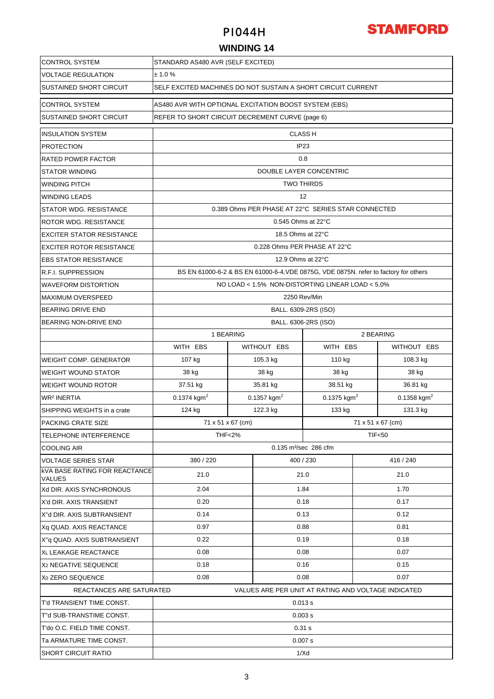

## **WINDING 14**

| <b>CONTROL SYSTEM</b>                                              | STANDARD AS480 AVR (SELF EXCITED)                                                                        |                |                                                     |               |                   |               |  |  |
|--------------------------------------------------------------------|----------------------------------------------------------------------------------------------------------|----------------|-----------------------------------------------------|---------------|-------------------|---------------|--|--|
| <b>VOLTAGE REGULATION</b>                                          | ± 1.0%                                                                                                   |                |                                                     |               |                   |               |  |  |
| SUSTAINED SHORT CIRCUIT                                            | SELF EXCITED MACHINES DO NOT SUSTAIN A SHORT CIRCUIT CURRENT                                             |                |                                                     |               |                   |               |  |  |
| <b>CONTROL SYSTEM</b>                                              | AS480 AVR WITH OPTIONAL EXCITATION BOOST SYSTEM (EBS)<br>REFER TO SHORT CIRCUIT DECREMENT CURVE (page 6) |                |                                                     |               |                   |               |  |  |
| SUSTAINED SHORT CIRCUIT                                            |                                                                                                          |                |                                                     |               |                   |               |  |  |
| <b>INSULATION SYSTEM</b>                                           |                                                                                                          | <b>CLASS H</b> |                                                     |               |                   |               |  |  |
| <b>PROTECTION</b>                                                  | IP <sub>23</sub>                                                                                         |                |                                                     |               |                   |               |  |  |
| RATED POWER FACTOR                                                 | 0.8                                                                                                      |                |                                                     |               |                   |               |  |  |
| STATOR WINDING                                                     | DOUBLE LAYER CONCENTRIC                                                                                  |                |                                                     |               |                   |               |  |  |
| <b>WINDING PITCH</b>                                               | <b>TWO THIRDS</b>                                                                                        |                |                                                     |               |                   |               |  |  |
| <b>WINDING LEADS</b>                                               | 12                                                                                                       |                |                                                     |               |                   |               |  |  |
| STATOR WDG. RESISTANCE                                             | 0.389 Ohms PER PHASE AT 22°C SERIES STAR CONNECTED                                                       |                |                                                     |               |                   |               |  |  |
| <b>ROTOR WDG, RESISTANCE</b>                                       |                                                                                                          |                | 0.545 Ohms at 22°C                                  |               |                   |               |  |  |
| <b>EXCITER STATOR RESISTANCE</b>                                   |                                                                                                          |                | 18.5 Ohms at 22°C                                   |               |                   |               |  |  |
| <b>EXCITER ROTOR RESISTANCE</b>                                    |                                                                                                          |                | 0.228 Ohms PER PHASE AT 22°C                        |               |                   |               |  |  |
| <b>EBS STATOR RESISTANCE</b>                                       |                                                                                                          |                | 12.9 Ohms at 22°C                                   |               |                   |               |  |  |
| <b>R.F.I. SUPPRESSION</b>                                          | BS EN 61000-6-2 & BS EN 61000-6-4, VDE 0875G, VDE 0875N. refer to factory for others                     |                |                                                     |               |                   |               |  |  |
| <b>WAVEFORM DISTORTION</b>                                         | NO LOAD < 1.5% NON-DISTORTING LINEAR LOAD < 5.0%                                                         |                |                                                     |               |                   |               |  |  |
| <b>MAXIMUM OVERSPEED</b>                                           | 2250 Rev/Min                                                                                             |                |                                                     |               |                   |               |  |  |
| <b>BEARING DRIVE END</b>                                           | BALL. 6309-2RS (ISO)                                                                                     |                |                                                     |               |                   |               |  |  |
| BEARING NON-DRIVE END                                              |                                                                                                          |                | BALL. 6306-2RS (ISO)                                |               |                   |               |  |  |
|                                                                    | 1 BEARING                                                                                                |                |                                                     |               | 2 BEARING         |               |  |  |
|                                                                    | WITH EBS                                                                                                 |                | WITHOUT EBS                                         | WITH EBS      |                   | WITHOUT EBS   |  |  |
| <b>WEIGHT COMP. GENERATOR</b>                                      | 107 kg                                                                                                   |                | 105.3 kg                                            | 110 kg        |                   | 108.3 kg      |  |  |
| <b>WEIGHT WOUND STATOR</b>                                         | 38 kg                                                                                                    |                | 38 kg                                               | 38 kg         |                   | 38 kg         |  |  |
| <b>WEIGHT WOUND ROTOR</b>                                          | 37.51 kg                                                                                                 |                | 35.81 kg                                            | 38.51 kg      |                   | 36.81 kg      |  |  |
| <b>WR<sup>2</sup> INERTIA</b>                                      | 0.1374 $kgm2$                                                                                            |                | 0.1357 $kgm2$                                       | 0.1375 $kgm2$ |                   | 0.1358 $kgm2$ |  |  |
| SHIPPING WEIGHTS in a crate                                        | 124 kg                                                                                                   |                | 122.3 kg                                            | 133 kg        |                   | 131.3 kg      |  |  |
| PACKING CRATE SIZE                                                 | 71 x 51 x 67 (cm)                                                                                        |                |                                                     |               | 71 x 51 x 67 (cm) |               |  |  |
| <b>TELEPHONE INTERFERENCE</b>                                      | <b>THF&lt;2%</b>                                                                                         |                |                                                     |               | <b>TIF&lt;50</b>  |               |  |  |
| <b>COOLING AIR</b>                                                 |                                                                                                          |                | 0.135 m <sup>3</sup> /sec 286 cfm                   |               |                   |               |  |  |
| <b>VOLTAGE SERIES STAR</b><br><b>KVA BASE RATING FOR REACTANCE</b> | 380 / 220                                                                                                |                | 400 / 230                                           |               |                   | 416 / 240     |  |  |
| VALUES                                                             | 21.0                                                                                                     |                | 21.0                                                |               |                   | 21.0          |  |  |
| Xd DIR. AXIS SYNCHRONOUS                                           | 2.04                                                                                                     |                | 1.84                                                |               |                   | 1.70          |  |  |
| X'd DIR. AXIS TRANSIENT                                            | 0.20                                                                                                     |                | 0.18                                                |               | 0.17              |               |  |  |
| X"d DIR. AXIS SUBTRANSIENT                                         | 0.14                                                                                                     |                | 0.13                                                |               | 0.12              |               |  |  |
| Xq QUAD. AXIS REACTANCE                                            | 0.97                                                                                                     |                | 0.88                                                |               | 0.81              |               |  |  |
| X"q QUAD. AXIS SUBTRANSIENT                                        | 0.22                                                                                                     |                | 0.19                                                |               | 0.18              |               |  |  |
| XL LEAKAGE REACTANCE                                               | 0.08                                                                                                     |                | 0.08                                                |               | 0.07              |               |  |  |
| X <sub>2</sub> NEGATIVE SEQUENCE                                   | 0.18                                                                                                     |                | 0.16                                                |               | 0.15              |               |  |  |
| X <sub>0</sub> ZERO SEQUENCE                                       | 0.08<br>0.08<br>0.07                                                                                     |                |                                                     |               |                   |               |  |  |
| REACTANCES ARE SATURATED                                           |                                                                                                          |                | VALUES ARE PER UNIT AT RATING AND VOLTAGE INDICATED |               |                   |               |  |  |
| T'd TRANSIENT TIME CONST.                                          |                                                                                                          |                | 0.013 s                                             |               |                   |               |  |  |
| T"d SUB-TRANSTIME CONST.                                           |                                                                                                          |                | 0.003 s                                             |               |                   |               |  |  |
| T'do O.C. FIELD TIME CONST.                                        | 0.31 s                                                                                                   |                |                                                     |               |                   |               |  |  |
| Ta ARMATURE TIME CONST.                                            | 0.007 s                                                                                                  |                |                                                     |               |                   |               |  |  |
| <b>SHORT CIRCUIT RATIO</b>                                         | 1/Xd                                                                                                     |                |                                                     |               |                   |               |  |  |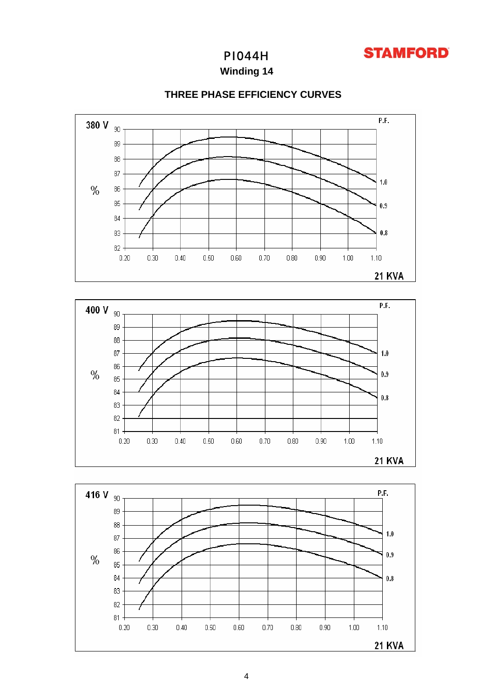

**Winding 14**



## **THREE PHASE EFFICIENCY CURVES**



 $0.20$ 

 $0.30$ 

 $0.40$ 

 $0.50$ 

 $0.60$ 

 $0.70$ 

 $0.80$ 

 $0.90$ 

 $1.00$ 

 $1.10$ 

**21 KVA**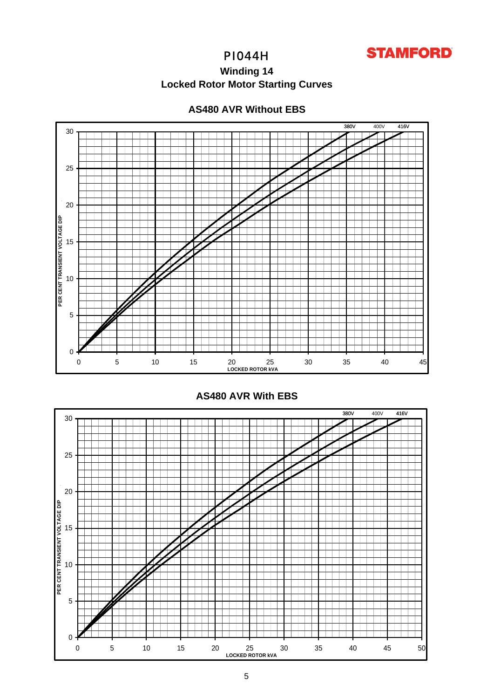

# **Winding 14 Locked Rotor Motor Starting Curves**

## **AS480 AVR Without EBS**





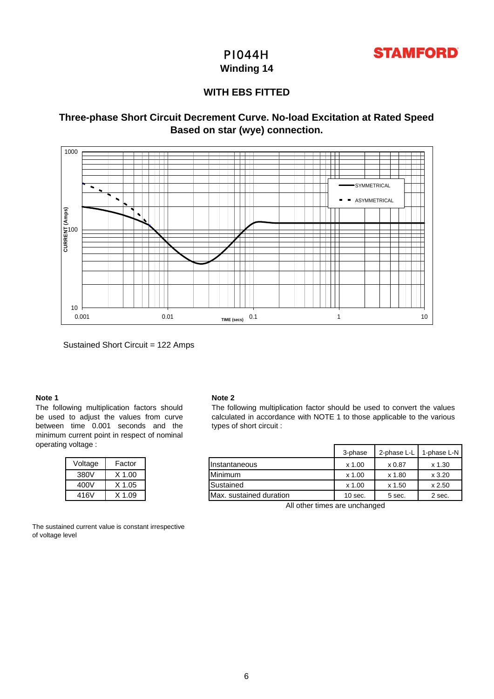

**Winding 14**

## **WITH EBS FITTED**

## **Based on star (wye) connection. Three-phase Short Circuit Decrement Curve. No-load Excitation at Rated Speed**



Sustained Short Circuit = 122 Amps

### **Note 1**

The following multiplication factors should be used to adjust the values from curve between time 0.001 seconds and the minimum current point in respect of nominal operating voltage :

| Voltage | Factor     |
|---------|------------|
| 380V    | $X$ 1.00   |
| 400V    | $X$ 1.05   |
| 416V    | $X$ 1 $09$ |

The sustained current value is constant irrespective of voltage level

#### **Note 2**

The following multiplication factor should be used to convert the values calculated in accordance with NOTE 1 to those applicable to the various types of short circuit :

| onayo . |        |                         | 3-phase  | 2-phase L-L | 1-phase L-N |
|---------|--------|-------------------------|----------|-------------|-------------|
| Voltage | Factor | <b>I</b> Instantaneous  | x 1.00   | x 0.87      | $x$ 1.30    |
| 380V    | X 1.00 | <b>Minimum</b>          | $x$ 1.00 | x 1.80      | x3.20       |
| 400V    | X 1.05 | Sustained               | x 1.00   | x 1.50      | x 2.50      |
| 416V    | X 1.09 | Max. sustained duration | 10 sec.  | 5 sec.      | 2 sec.      |

All other times are unchanged